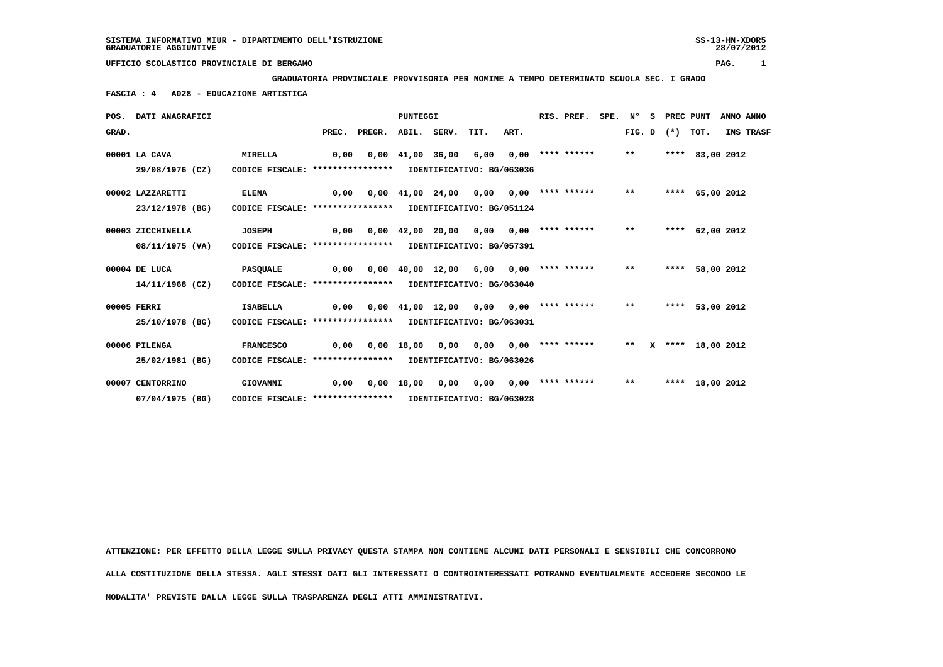**GRADUATORIA PROVINCIALE PROVVISORIA PER NOMINE A TEMPO DETERMINATO SCUOLA SEC. I GRADO**

 **FASCIA : 4 A028 - EDUCAZIONE ARTISTICA**

|       | POS. DATI ANAGRAFICI |                                                            | PUNTEGGI |        |       |                  |                               |      |  | RIS. PREF.         | SPE. Nº |        | S. | PREC PUNT  |                   | ANNO ANNO |
|-------|----------------------|------------------------------------------------------------|----------|--------|-------|------------------|-------------------------------|------|--|--------------------|---------|--------|----|------------|-------------------|-----------|
| GRAD. |                      |                                                            | PREC.    | PREGR. |       | ABIL. SERV.      | TIT.                          | ART. |  |                    |         | FIG. D |    | $(*)$ TOT. |                   | INS TRASF |
|       | 00001 LA CAVA        | <b>MIRELLA</b>                                             | 0,00     | 0,00   |       | 41,00 36,00      | 6,00                          | 0,00 |  | **** ******        |         | $***$  |    |            | **** 83,00 2012   |           |
|       | 29/08/1976 (CZ)      | CODICE FISCALE: ****************                           |          |        |       |                  | IDENTIFICATIVO: BG/063036     |      |  |                    |         |        |    |            |                   |           |
|       | 00002 LAZZARETTI     | <b>ELENA</b>                                               | 0,00     | 0.00   |       | 41,00 24,00      | 0.00                          | 0,00 |  | **** ******        |         | $* *$  |    |            | **** 65,00 2012   |           |
|       | 23/12/1978 (BG)      | CODICE FISCALE: ****************                           |          |        |       |                  | IDENTIFICATIVO: BG/051124     |      |  |                    |         |        |    |            |                   |           |
|       | 00003 ZICCHINELLA    | <b>JOSEPH</b>                                              | 0,00     |        |       | 0,00 42,00 20,00 | 0,00                          |      |  | $0,00$ **** ****** |         | $***$  |    |            | **** 62,00 2012   |           |
|       | 08/11/1975 (VA)      | CODICE FISCALE: *****************                          |          |        |       |                  | IDENTIFICATIVO: BG/057391     |      |  |                    |         |        |    |            |                   |           |
|       | 00004 DE LUCA        | <b>PASQUALE</b>                                            | 0,00     | 0,00   |       | 40,00 12,00      | 6,00                          |      |  | $0.00$ **** ****** |         | $**$   |    |            | **** 58,00 2012   |           |
|       | $14/11/1968$ (CZ)    | CODICE FISCALE: **************** IDENTIFICATIVO: BG/063040 |          |        |       |                  |                               |      |  |                    |         |        |    |            |                   |           |
|       | 00005 FERRI          | <b>ISABELLA</b>                                            | 0.00     |        |       |                  | $0,00$ $41,00$ $12,00$ $0,00$ |      |  | $0.00$ **** ****** |         | $***$  |    | ****       | 53,00 2012        |           |
|       | 25/10/1978 (BG)      | CODICE FISCALE: *****************                          |          |        |       |                  | IDENTIFICATIVO: BG/063031     |      |  |                    |         |        |    |            |                   |           |
|       | 00006 PILENGA        | <b>FRANCESCO</b>                                           | 0,00     | 0,00   | 18,00 | 0,00             | 0,00                          |      |  | $0.00$ **** ****** |         | $* *$  |    |            | X **** 18,00 2012 |           |
|       | 25/02/1981 (BG)      | CODICE FISCALE: **************** IDENTIFICATIVO: BG/063026 |          |        |       |                  |                               |      |  |                    |         |        |    |            |                   |           |
|       | 00007 CENTORRINO     | GIOVANNI                                                   | 0,00     | 0,00   | 18,00 | 0,00             | 0.00                          |      |  | $0.00$ **** ****** |         | $***$  |    |            | **** 18,00 2012   |           |
|       | 07/04/1975 (BG)      | CODICE FISCALE: *****************                          |          |        |       |                  | IDENTIFICATIVO: BG/063028     |      |  |                    |         |        |    |            |                   |           |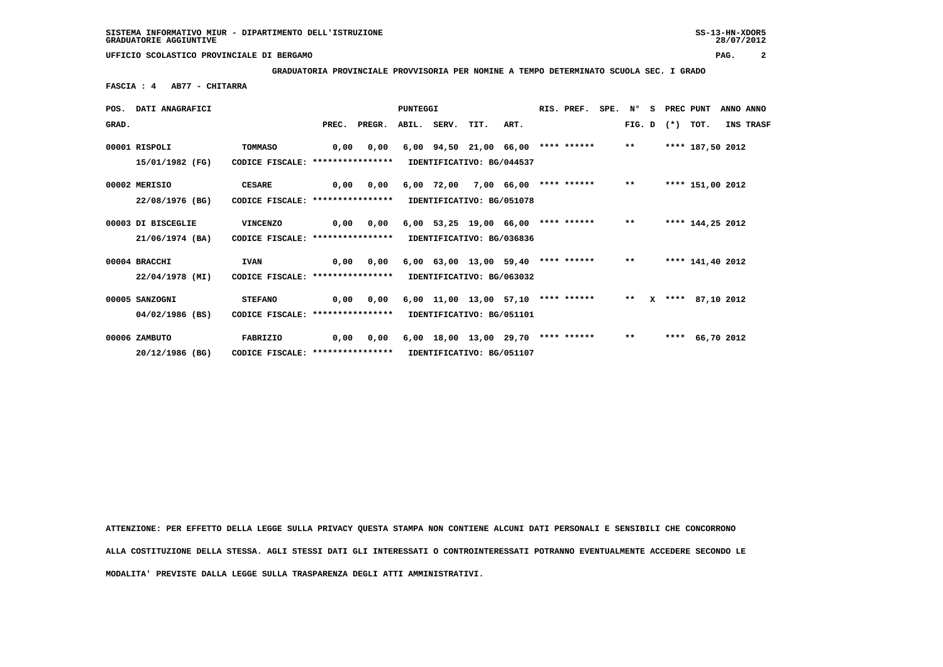**GRADUATORIA PROVINCIALE PROVVISORIA PER NOMINE A TEMPO DETERMINATO SCUOLA SEC. I GRADO**

 **FASCIA : 4 AB77 - CHITARRA**

|       | POS. DATI ANAGRAFICI |                                   | PUNTEGGI |                           |                           |              |                                            |            | RIS. PREF.  | SPE. N° |        |              | S PREC PUNT |                  | ANNO ANNO  |           |
|-------|----------------------|-----------------------------------|----------|---------------------------|---------------------------|--------------|--------------------------------------------|------------|-------------|---------|--------|--------------|-------------|------------------|------------|-----------|
| GRAD. |                      |                                   | PREC.    | PREGR.                    |                           | ABIL. SERV.  | TIT.                                       | ART.       |             |         | FIG. D |              | $(*)$       | TOT.             |            | INS TRASF |
|       | 00001 RISPOLI        | <b>TOMMASO</b>                    | 0,00     | 0,00                      |                           |              | $6,00$ $94,50$ $21,00$ $66,00$ **** ****** |            |             |         | $* *$  |              |             | **** 187,50 2012 |            |           |
|       | 15/01/1982 (FG)      | CODICE FISCALE: ***************** |          |                           |                           |              | IDENTIFICATIVO: BG/044537                  |            |             |         |        |              |             |                  |            |           |
|       | 00002 MERISIO        | <b>CESARE</b>                     | 0,00     | 0,00                      |                           | $6,00$ 72,00 |                                            | 7,00 66,00 | **** ****** |         | $***$  |              |             | **** 151,00 2012 |            |           |
|       | 22/08/1976 (BG)      | CODICE FISCALE: ***************** |          |                           |                           |              | IDENTIFICATIVO: BG/051078                  |            |             |         |        |              |             |                  |            |           |
|       | 00003 DI BISCEGLIE   | <b>VINCENZO</b>                   | 0.00     | 0.00                      |                           |              | $6,00$ 53,25 19,00 66,00 **** ******       |            |             |         | $* *$  |              |             | **** 144,25 2012 |            |           |
|       | 21/06/1974 (BA)      | CODICE FISCALE: ***************** |          |                           |                           |              | IDENTIFICATIVO: BG/036836                  |            |             |         |        |              |             |                  |            |           |
|       | 00004 BRACCHI        | <b>IVAN</b>                       | 0.00     | 0.00                      |                           |              | $6,00$ $63,00$ $13,00$ $59,40$ **** ****** |            |             |         | $***$  |              |             | **** 141,40 2012 |            |           |
|       | 22/04/1978 (MI)      | CODICE FISCALE: ***************** |          |                           |                           |              | IDENTIFICATIVO: BG/063032                  |            |             |         |        |              |             |                  |            |           |
|       | 00005 SANZOGNI       | <b>STEFANO</b>                    | 0,00     | 0,00                      |                           |              | $6,00$ 11,00 13,00 57,10 **** ******       |            |             |         | $***$  | $\mathbf{x}$ |             | **** 87,10 2012  |            |           |
|       | 04/02/1986 (BS)      | CODICE FISCALE: ***************** |          | IDENTIFICATIVO: BG/051101 |                           |              |                                            |            |             |         |        |              |             |                  |            |           |
|       | 00006 ZAMBUTO        | FABRIZIO                          | 0,00     | 0,00                      |                           |              | $6,00$ 18,00 13,00 29,70 **** ******       |            |             |         | $* *$  |              | ****        |                  | 66,70 2012 |           |
|       | 20/12/1986 (BG)      | CODICE FISCALE: ***************** |          |                           | IDENTIFICATIVO: BG/051107 |              |                                            |            |             |         |        |              |             |                  |            |           |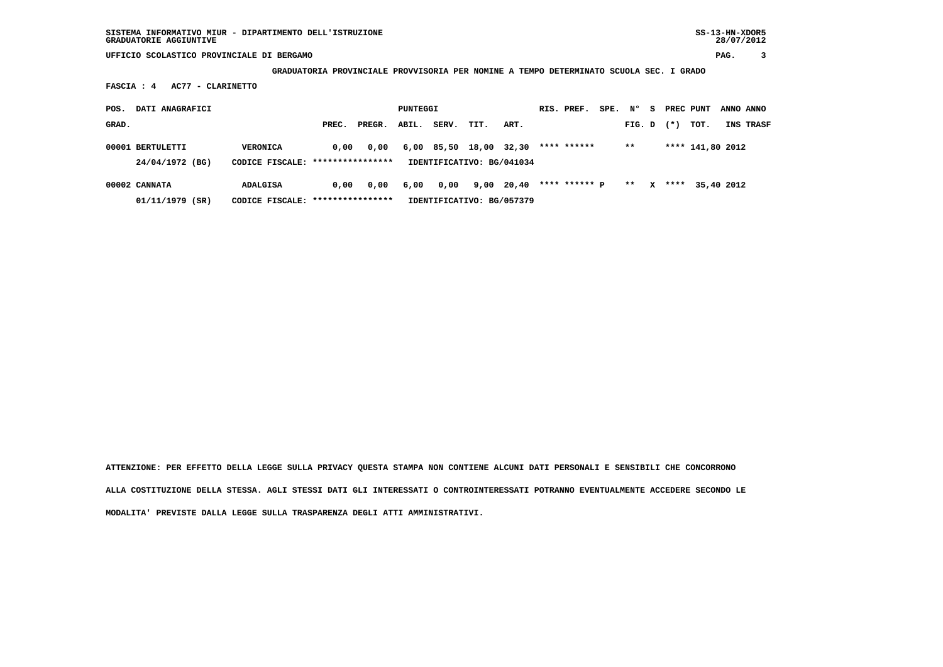**GRADUATORIA PROVINCIALE PROVVISORIA PER NOMINE A TEMPO DETERMINATO SCUOLA SEC. I GRADO**

 **FASCIA : 4 AC77 - CLARINETTO**

| POS.  | DATI ANAGRAFICI                     |                                              | PUNTEGGI |        |       |            | RIS. PREF.                         | SPE.  | N°                   | s. | PREC PUNT    |              | ANNO ANNO |                  |                  |
|-------|-------------------------------------|----------------------------------------------|----------|--------|-------|------------|------------------------------------|-------|----------------------|----|--------------|--------------|-----------|------------------|------------------|
| GRAD. |                                     |                                              | PREC.    | PREGR. | ABIL. | SERV.      | TIT.                               | ART.  |                      |    | FIG. D       |              | $(*)$     | тот.             | <b>INS TRASF</b> |
|       | 00001 BERTULETTI<br>24/04/1972 (BG) | VERONICA<br>CODICE FISCALE: **************** | 0.00     | 0,00   |       | 6,00 85,50 | 18,00<br>IDENTIFICATIVO: BG/041034 | 32,30 | **** ******          |    | $* *$        |              |           | **** 141,80 2012 |                  |
|       | 00002 CANNATA                       | <b>ADALGISA</b>                              | 0.00     | 0,00   | 6,00  | 0,00       | 9,00                               | 20,40 | **** ****** <b>p</b> |    | $\star\star$ | $\mathbf{x}$ |           | **** 35,40 2012  |                  |
|       | 01/11/1979 (SR)                     | CODICE FISCALE: *****************            |          |        |       |            | IDENTIFICATIVO: BG/057379          |       |                      |    |              |              |           |                  |                  |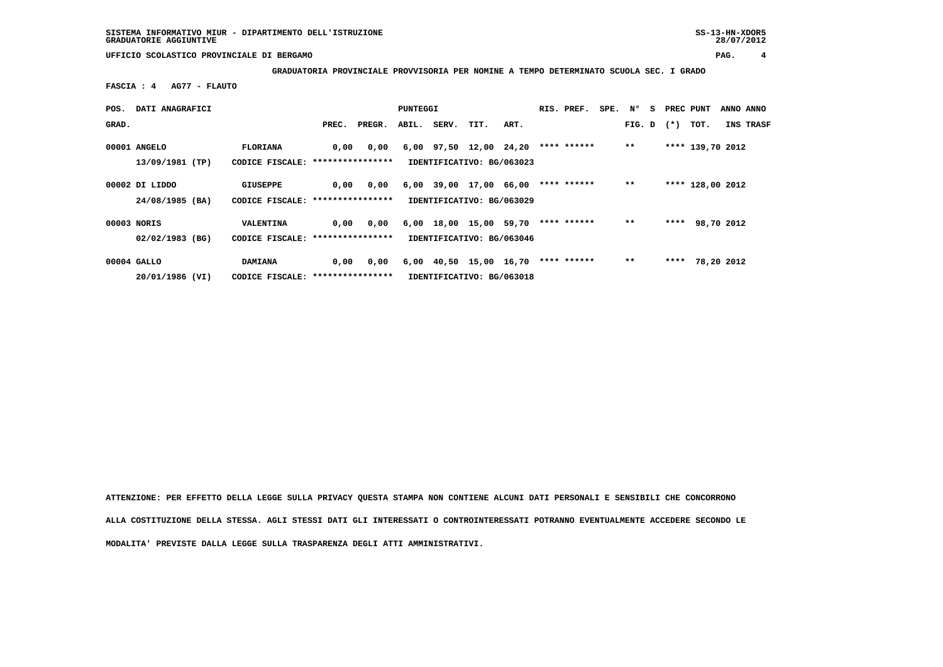**GRADUATORIA PROVINCIALE PROVVISORIA PER NOMINE A TEMPO DETERMINATO SCUOLA SEC. I GRADO**

 **FASCIA : 4 AG77 - FLAUTO**

| POS.  | DATI ANAGRAFICI                   |                                                     |       | PUNTEGGI |      |                  |                                                     | RIS. PREF. | SPE.        | N° | s            | PREC PUNT |  | ANNO ANNO        |           |
|-------|-----------------------------------|-----------------------------------------------------|-------|----------|------|------------------|-----------------------------------------------------|------------|-------------|----|--------------|-----------|--|------------------|-----------|
| GRAD. |                                   |                                                     | PREC. | PREGR.   |      | ABIL. SERV. TIT. |                                                     | ART.       |             |    | FIG. D $(*)$ |           |  | TOT.             | INS TRASF |
|       | 00001 ANGELO<br>13/09/1981 (TP)   | FLORIANA<br>CODICE FISCALE: *****************       | 0,00  | 0,00     |      |                  | 6,00 97,50 12,00 24,20<br>IDENTIFICATIVO: BG/063023 |            | **** ****** |    | $* *$        |           |  | **** 139,70 2012 |           |
|       | 00002 DI LIDDO<br>24/08/1985 (BA) | GIUSEPPE<br>CODICE FISCALE: *****************       | 0,00  | 0,00     | 6,00 | 39,00            | 17,00 66,00<br>IDENTIFICATIVO: BG/063029            |            | **** ****** |    | $* *$        |           |  | **** 128,00 2012 |           |
|       | 00003 NORIS                       | VALENTINA                                           | 0,00  | 0,00     |      |                  | 6,00 18,00 15,00 59,70                              |            | **** ****** |    | $**$         |           |  | **** 98,70 2012  |           |
|       | $02/02/1983$ (BG)                 | CODICE FISCALE: *****************                   |       |          |      |                  | IDENTIFICATIVO: BG/063046                           |            |             |    |              |           |  |                  |           |
|       | 00004 GALLO<br>20/01/1986 (VI)    | <b>DAMIANA</b><br>CODICE FISCALE: ***************** | 0,00  | 0,00     |      |                  | 6,00 40,50 15,00 16,70<br>IDENTIFICATIVO: BG/063018 |            | **** ****** |    | $* *$        |           |  | **** 78,20 2012  |           |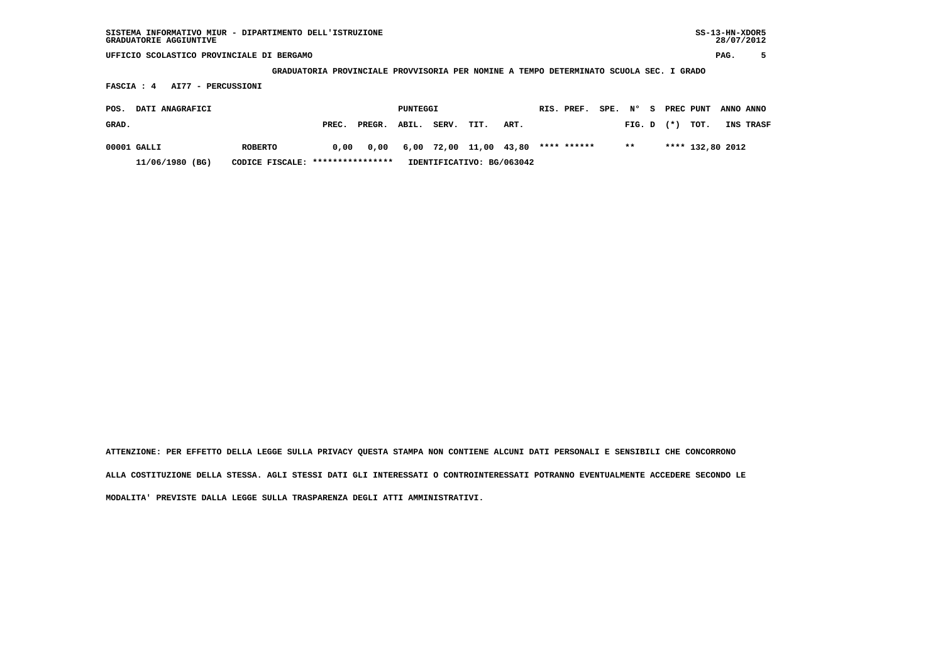**GRADUATORIA PROVINCIALE PROVVISORIA PER NOMINE A TEMPO DETERMINATO SCUOLA SEC. I GRADO**

 **FASCIA : 4 AI77 - PERCUSSIONI**

| POS.  | DATI ANAGRAFICI |                                  | PUNTEGGI |              | RIS. PREF.                | SPE. N° |                             |      | S PREC PUNT | ANNO ANNO |       |                |                  |           |
|-------|-----------------|----------------------------------|----------|--------------|---------------------------|---------|-----------------------------|------|-------------|-----------|-------|----------------|------------------|-----------|
| GRAD. |                 |                                  | PREC.    | PREGR. ABIL. |                           | SERV.   | TIT.                        | ART. |             |           |       | $FIG. D$ $(*)$ | тот.             | INS TRASF |
|       | 00001 GALLI     | <b>ROBERTO</b>                   | 0.00     |              |                           |         | 0,00 6,00 72,00 11,00 43,80 |      | **** ****** |           | $***$ |                | **** 132,80 2012 |           |
|       | 11/06/1980 (BG) | CODICE FISCALE: **************** |          |              | IDENTIFICATIVO: BG/063042 |         |                             |      |             |           |       |                |                  |           |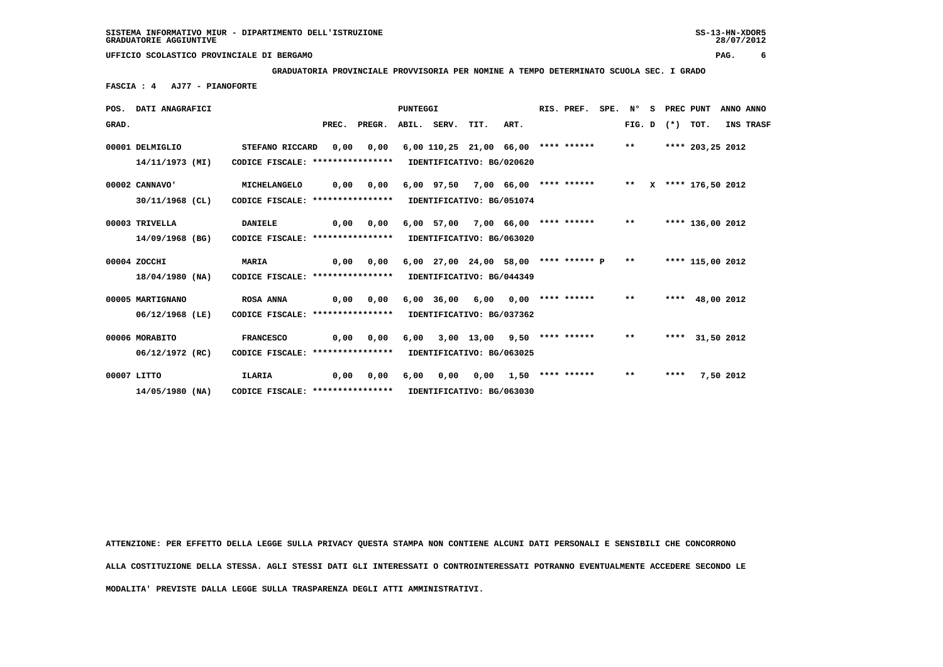**GRADUATORIA PROVINCIALE PROVVISORIA PER NOMINE A TEMPO DETERMINATO SCUOLA SEC. I GRADO**

 **FASCIA : 4 AJ77 - PIANOFORTE**

|       | POS. DATI ANAGRAFICI |                                                            |                                  |                               | RIS. PREF. | SPE. N°                                                   |                                  | S    | PREC PUNT |                       |  | ANNO ANNO |  |                   |                   |           |           |
|-------|----------------------|------------------------------------------------------------|----------------------------------|-------------------------------|------------|-----------------------------------------------------------|----------------------------------|------|-----------|-----------------------|--|-----------|--|-------------------|-------------------|-----------|-----------|
| GRAD. |                      |                                                            |                                  | PREC. PREGR. ABIL. SERV. TIT. |            |                                                           |                                  | ART. |           |                       |  |           |  | FIG. D $(*)$ TOT. |                   |           | INS TRASF |
|       | 00001 DELMIGLIO      | STEFANO RICCARD                                            | 0,00                             | 0,00                          |            | $6,00$ 110,25 21,00 66,00 **** ****** **                  |                                  |      |           |                       |  |           |  |                   | **** 203,25 2012  |           |           |
|       | 14/11/1973 (MI)      | CODICE FISCALE: **************** IDENTIFICATIVO: BG/020620 |                                  |                               |            |                                                           |                                  |      |           |                       |  |           |  |                   |                   |           |           |
|       | 00002 CANNAVO'       | MICHELANGELO                                               | 0,00                             | 0,00                          |            | 6,00 97,50 7,00 66,00 **** ****** ** ** ***** 176,50 2012 |                                  |      |           |                       |  |           |  |                   |                   |           |           |
|       | 30/11/1968 (CL)      | CODICE FISCALE: *****************                          |                                  |                               |            | IDENTIFICATIVO: BG/051074                                 |                                  |      |           |                       |  |           |  |                   |                   |           |           |
|       | 00003 TRIVELLA       | <b>DANIELE</b>                                             | 0,00                             | 0,00                          |            | 6,00 57,00 7,00 66,00 **** ****** **                      |                                  |      |           |                       |  |           |  |                   | **** 136,00 2012  |           |           |
|       | 14/09/1968 (BG)      |                                                            | CODICE FISCALE: **************** |                               |            |                                                           | IDENTIFICATIVO: BG/063020        |      |           |                       |  |           |  |                   |                   |           |           |
|       | 00004 ZOCCHI         | <b>MARIA</b>                                               | 0.00                             | 0.00                          |            | 6,00 27,00 24,00 58,00 **** ****** P **                   |                                  |      |           |                       |  |           |  |                   | **** 115,00 2012  |           |           |
|       | 18/04/1980 (NA)      | CODICE FISCALE: ****************                           |                                  |                               |            | IDENTIFICATIVO: BG/044349                                 |                                  |      |           |                       |  |           |  |                   |                   |           |           |
|       | 00005 MARTIGNANO     | <b>ROSA ANNA</b>                                           | 0,00                             | 0,00                          |            | $6,00$ $36,00$ $6,00$                                     |                                  |      |           | $0.00$ **** ****** ** |  |           |  |                   | **** $48,00$ 2012 |           |           |
|       | 06/12/1968 (LE)      | CODICE FISCALE: ****************                           |                                  |                               |            | IDENTIFICATIVO: BG/037362                                 |                                  |      |           |                       |  |           |  |                   |                   |           |           |
|       | 00006 MORABITO       | <b>FRANCESCO</b>                                           | 0.00                             | 0.00                          | 6,00       |                                                           | $3,00$ 13,00 9,50 **** ******    |      |           |                       |  | $***$     |  |                   | **** 31,50 2012   |           |           |
|       | 06/12/1972 (RC)      | CODICE FISCALE: ****************                           |                                  |                               |            | IDENTIFICATIVO: BG/063025                                 |                                  |      |           |                       |  |           |  |                   |                   |           |           |
|       | 00007 LITTO          | ILARIA                                                     | 0,00                             | 0,00                          | 6,00       |                                                           | $0,00$ $0,00$ $1,50$ **** ****** |      |           |                       |  | $***$     |  | ****              |                   | 7,50 2012 |           |
|       | $14/05/1980$ (NA)    | CODICE FISCALE: *****************                          |                                  |                               |            | IDENTIFICATIVO: BG/063030                                 |                                  |      |           |                       |  |           |  |                   |                   |           |           |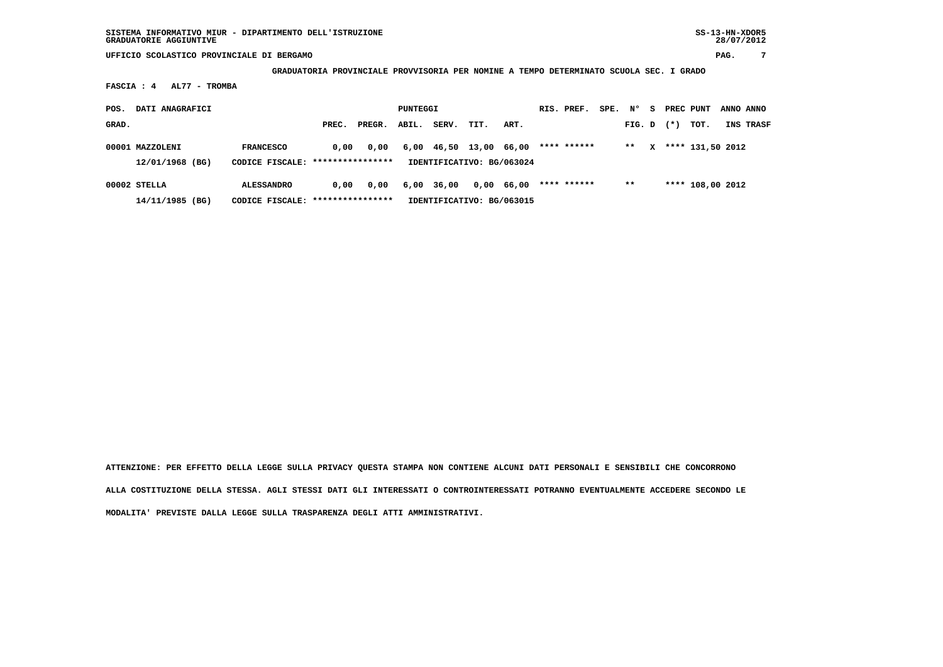**GRADUATORIA PROVINCIALE PROVVISORIA PER NOMINE A TEMPO DETERMINATO SCUOLA SEC. I GRADO**

 **FASCIA : 4 AL77 - TROMBA**

| POS.  | DATI ANAGRAFICI                    |                                                        | PUNTEGGI |        |       |       |                                                     | RIS. PREF. | SPE. | N°          | -S | PREC PUNT |              | ANNO ANNO |                  |           |
|-------|------------------------------------|--------------------------------------------------------|----------|--------|-------|-------|-----------------------------------------------------|------------|------|-------------|----|-----------|--------------|-----------|------------------|-----------|
| GRAD. |                                    |                                                        | PREC.    | PREGR. | ABIL. | SERV. | TIT.                                                | ART.       |      |             |    | FIG. D    |              | $(*)$     | тот.             | INS TRASF |
|       | 00001 MAZZOLENI<br>12/01/1968 (BG) | <b>FRANCESCO</b><br>CODICE FISCALE: ****************   | 0.00     | 0.00   |       |       | 6,00 46,50 13,00 66,00<br>IDENTIFICATIVO: BG/063024 |            |      | **** ****** |    | $* *$     | $\mathbf{x}$ |           | **** 131,50 2012 |           |
|       | $00002$ STELLA<br>14/11/1985 (BG)  | <b>ALESSANDRO</b><br>CODICE FISCALE: ***************** | 0.00     | 0,00   | 6,00  | 36,00 | IDENTIFICATIVO: BG/063015                           | 0,00 66,00 |      | **** ****** |    | $* *$     |              |           | **** 108,00 2012 |           |